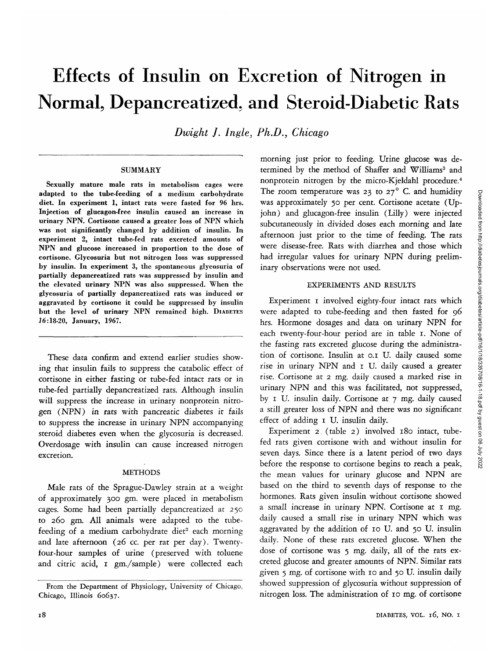# Effects of Insulin on Excretion of Nitrogen in Normal, Depancreatized, and Steroid-Diabetic Rats

*Dwight ]. Ingle, Ph.D.;, Chicago*

#### **SUMMARY**

Sexually mature male rats in metabolism cages were adapted to the tube-feeding of a medium carbohydrate diet. In experiment 1, intact rats were fasted for 96 hrs. Injection of glucagon-free insulin caused an increase in urinary NPN. Cortisone caused a greater loss of NPN which was not significantly changed by addition of insulin. In experiment 2, intact tube-fed rats excreted amounts of NPN and glucose increased in proportion to the dose of cortisone. Glycosuria but not nitrogen loss was suppressed by insulin. In experiment 3, the spontaneous glycosuria of partially depancreatized rats was suppressed by insulin and the elevated urinary NPN was also suppressed. When the glycosuria of partially depancreatized rats was induced or aggravated by cortisone it could be suppressed by insulin but the level of urinary NPN remained high. DIABETES *16:*18-20, January, 1967.

These data confirm and extend earlier studies showing that insulin fails to suppress the catabolic effect of cortisone in either fasting or tube-fed intact rats or in tube-fed partially depancreatized rats. Although insulin will suppress the increase in urinary nonprotein nitrogen (NPN) in rats with pancreatic diabetes *it* fails to suppress the increase in urinary NPN accompanying steroid diabetes even when the glycosuria is decreased. Overdosage with insulin can cause increased nitrogen excretion.

# **METHODS**

Male rats of the Sprague-Dawley strain at a weight of approximately 300 gm. were placed in metabolism cages. Some had been partially depancreatized at 250 to 260 gm. All animals were adapted to the tubefeeding of a medium carbohydrate diet<sup>2</sup> each morning and late afternoon (26 cc. per rat per day). Twentyfour-hour samples of urine (preserved with toluene and citric acid, 1 gm./sample) were collected each

morning just prior to feeding. Urine glucose was determined by the method of Shaffer and Williams<sup>3</sup> and nonprotein nitrogen by the micro-Kjeldahl procedure.<sup>4</sup> The room temperature was 23 to  $27^{\circ}$  C. and humidity was approximately 50 per cent. Cortisone acetate (Upjohn) and glucagon-free insulin (Lilly) were injected subcutaneously in divided doses each morning and late afternoon just prior to the time of feeding. The rats were disease-free. Rats with diarrhea and those which had irregular values for urinary NPN during preliminary observations were not used.

# EXPERIMENTS AND RESULTS

Experiment I involved eighty-four intact rats which were adapted to tube-feeding and then fasted for 96 hrs. Hormone dosages and data on urinary NPN for each twenty-four-hour period are in table 1. None of the fasting rats excreted glucose during the administration of cortisone. Insulin at 0.1 U. daily caused some rise in urinary NPN and 1 U. daily caused a greater rise. Cortisone at 2 mg. daily caused a marked rise in urinary NPN and this was facilitated, not suppressed, by 1 U. insulin daily. Cortisone at 7 mg. daily caused a still greater loss of NPN and there was no significant effect of adding 1 U. insulin daily.

Experiment 2. (table 2) involved 180 intact, tubefed rats given cortisone with and without insulin for seven days. Since there is a latent period of two days before the response to cortisone begins to reach a peak, the mean values for urinary glucose and NPN are based on the third to seventh days of response to the hormones. Rats given insulin without cortisone showed a small increase in urinary NPN. Cortisone at 1 mg. daily caused a small rise in urinary NPN which was aggravated by the addition of 10 U. and 50 U. insulin daily. None of these rats excreted glucose. When the dose of cortisone was 5 mg. daily, all of the rats excreted glucose and greater amounts of NPN. Similar rats given 5 mg. of cortisone with 10 and 50 U. insulin daily showed suppression of glycosuria without suppression of nitrogen loss. The administration of 10 mg. of cortisone

From the Department of Physiology, University of Chicago, Chicago, Illinois 60637.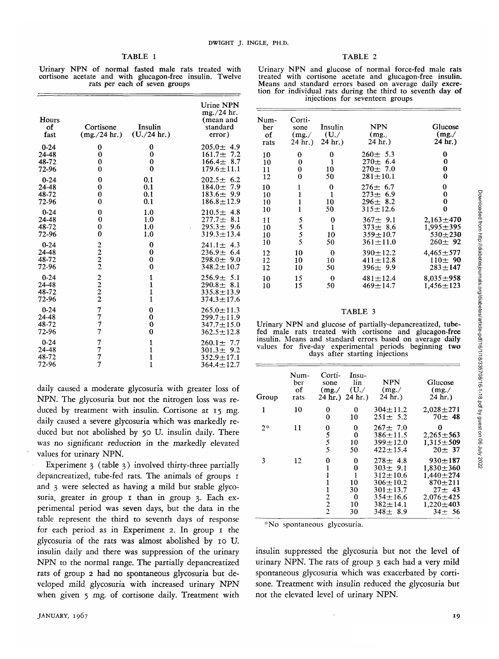Urinary NPN of normal fasted male rats treated with cortisone acetate and with glucagon-free insulin. Twelve rats per each of seven groups

| Hours<br>of<br>fast                 | Cortisone<br>$(mg_{.}/24 \text{ hr.})$                       | Insulin<br>(U./24 hr.)  | Urine NPN<br>mg./24 hr.<br>(mean and<br>standard<br>error)                   |
|-------------------------------------|--------------------------------------------------------------|-------------------------|------------------------------------------------------------------------------|
| $0 - 24$                            | 0                                                            | 0                       | $205.0 \pm 4.9$                                                              |
| 24-48                               | 0                                                            | 0                       | $161.7 \pm 7.2$                                                              |
| 48-72                               | 0                                                            | $\bf{0}$                | $166.4 \pm 8.7$                                                              |
| 72-96                               | 0                                                            | $\bf{0}$                | $179.6 \pm 11.1$                                                             |
| $0 - 24$                            | 0                                                            | 0.1                     | $202.5 \pm 6.2$                                                              |
| 24-48                               | $\bf{0}$                                                     | 0.1                     | $184.0 \pm 7.9$                                                              |
| 48-72                               | $\bf{0}$                                                     | 0.1                     | $183.6 \pm 9.9$                                                              |
| 72-96                               | $\bf{0}$                                                     | 0.1                     | $186.8 \pm 12.9$                                                             |
| $0 - 24$                            | $\bf{0}$                                                     | 1.0                     | $210.5 \pm 4.8$                                                              |
| 24-48                               | 0                                                            | 1.0                     | $277.7 \pm 8.1$                                                              |
| 48-72                               | 0                                                            | 1.0                     | $295.3 \pm 9.6$                                                              |
| 72-96                               | 0                                                            | 1.0                     | $319.3 \pm 13.4$                                                             |
| $0 - 24$                            | $\frac{2}{2}$<br>$\frac{2}{2}$                               | 0                       | $241.1 \pm 4.3$                                                              |
| 24-48                               |                                                              | 0                       | $236.9 \pm 6.4$                                                              |
| 48-72                               |                                                              | 0                       | $298.0 \pm 9.0$                                                              |
| 72-96                               |                                                              | $\bf{0}$                | $348.2 \pm 10.7$                                                             |
| $0 - 24$                            | $\begin{array}{c} 2 \\ 2 \\ 2 \end{array}$                   | 1                       | $256.9 \pm 5.1$                                                              |
| 24-48                               |                                                              | 1                       | $290.8 \pm 8.1$                                                              |
| 48-72                               |                                                              | 1                       | $335.8 \pm 13.9$                                                             |
| 72-96                               |                                                              | 1                       | $374.3 \pm 17.6$                                                             |
| $0 - 24$<br>24-48<br>48-72<br>72-96 | $\begin{array}{c} 7 \\ 7 \\ 7 \end{array}$<br>$\overline{7}$ | 0<br>0<br>0<br>$\bf{0}$ | $265.0 \pm 11.3$<br>$299.7 \pm 11.9$<br>$347.7 \pm 15.0$<br>$362.5 \pm 12.8$ |
| $0 - 24$                            | フフフ                                                          | 1                       | $260.1 \pm 7.7$                                                              |
| 24-48                               |                                                              | $\mathbf{1}$            | $301.3 \pm 9.2$                                                              |
| 48-72                               |                                                              | $\mathbf{1}$            | $352.9 \pm 17.1$                                                             |
| 72-96                               |                                                              | 1                       | $364.4 \pm 12.7$                                                             |

daily caused a moderate glycosuria with greater loss of NPN. The glycosuria but not the nitrogen loss was reduced by treatment with insulin. Cortisone at 15 mg. daily caused a severe glycosuria which was markedly reduced but not abolished by 50 U. insulin daily. There was no significant reduction in the markedly elevated values for urinary NPN.

Experiment 3 (table 3) involved thirty-three partially depancreatized, tube-fed rats. The animals of groups 1 and 3 were selected as having a mild but stable glycosuria, greater in group 1 than in group 3. Each experimental period was seven days, but the data in the table represent the third to seventh days of response for each period as in Experiment 2. In group 1 the glycosuria of the rats was almost abolished by 10 U. insulin daily and there was suppression of the urinary NPN to the normal range. The partially depancreatized rats of group 2 had no spontaneous glycosuria but developed mild glycosuria with increased urinary NPN when given 5 mg. of cortisone daily. Treatment with

| ιRΙ |  |
|-----|--|
|-----|--|

Urinary NPN and glucose of normal force-fed male rats<br>treated with cortisone acetate and glucagon-free insulin.<br>Means and standard errors based on average daily excre-<br>tion for individual rats during the third to seventh d injections for seventeen groups

| Num-<br>ber<br>of<br>rats | Corti-<br>sone<br>(mg)<br>24 hr.) | Insulin<br>$(U_{\cdot}/$<br>$24 \text{ hr.}$ | <b>NPN</b><br>(mg.,<br>24 hr.)                                   | Glucose<br>(mg. /<br>24 hr.)                                |
|---------------------------|-----------------------------------|----------------------------------------------|------------------------------------------------------------------|-------------------------------------------------------------|
| 10                        | 0                                 | 0                                            | $260 \pm 5.3$                                                    | 0                                                           |
| 10                        | 0                                 | 1                                            | $270 \pm 6.4$                                                    | 0                                                           |
| 11                        | 0                                 | 10                                           | $270 \pm 7.0$                                                    | 0                                                           |
| 12                        | 0                                 | 50                                           | $281 + 10.1$                                                     | 0                                                           |
| 10                        | 1                                 | 0                                            | $276 \pm 6.7$                                                    | 0                                                           |
| 10                        | $\mathbf{1}$                      | 1                                            | $273 + 6.9$                                                      | 0                                                           |
| 10                        | $\mathbf{1}$                      | 10                                           | $296 \pm 8.2$                                                    | 0                                                           |
| 10                        | $\mathbf{1}$                      | 50                                           | $315 \pm 12.6$                                                   | 0                                                           |
| 11<br>10<br>10<br>10      | 5<br>$\frac{5}{5}$                | 0<br>$\mathbf{1}$<br>10<br>50                | $367 \pm 9.1$<br>$373 \pm 8.6$<br>$359 \pm 10.7$<br>$361 + 11.0$ | $2,163 \pm 470$<br>1,995±395<br>$530 + 230$<br>$260 \pm 92$ |
| 12                        | 10                                | 0                                            | $390 + 12.2$                                                     | $4.465 \pm 577$                                             |
| 12                        | 10                                | 10                                           | $411 \pm 12.8$                                                   | $110 \pm 90$                                                |
| 12                        | 10                                | 50                                           | 396 $\pm$ 9.9                                                    | $283 + 147$                                                 |
| 10                        | 15                                | $\bf{0}$                                     | $481 \pm 12.4$                                                   | $8.035 + 958$                                               |
| 10                        | 15                                | 50                                           | $469 + 14.7$                                                     | $1,456 \pm 123$                                             |
|                           |                                   |                                              |                                                                  |                                                             |

#### TABLE 3

Urinary NPN and glucose of partially-depancreatized, tube- fed male rats treated with cortisone and glucagon-free insulin. Means and standard errors based on average daily values for five-day experimental periods beginning two days after starting injections

| Group | Num-<br>ber<br>оf<br>rats | Corti-<br>sone                                                            | Insu-<br>lin<br>(mg. / U. / U)<br>$24 \text{ hr.}$ ) $24 \text{ hr.}$ | <b>NPN</b><br>(mg. /<br>$24$ hr.)                                                                                                       | Glucose<br>(mg. /<br>$24$ hr.)                                                                                                     |
|-------|---------------------------|---------------------------------------------------------------------------|-----------------------------------------------------------------------|-----------------------------------------------------------------------------------------------------------------------------------------|------------------------------------------------------------------------------------------------------------------------------------|
| 1     | 10                        | 0<br>0                                                                    | 0<br>10                                                               | $304 \pm 11.2$<br>$251 \pm 5.2$                                                                                                         | $2,028 \pm 271$<br>$70 \pm 48$                                                                                                     |
| $2*$  | 11                        | $0\over 5$<br>$5\over 5$                                                  | 0<br>0<br>10<br>50                                                    | $267 \pm 7.0$<br>$386 \pm 11.5$<br>$399 \pm 12.0$<br>$422 \pm 15.4$                                                                     | 0<br>$2,265 \pm 563$<br>$1.315 + 509$<br>$20 + 37$                                                                                 |
| 3     | 12                        | 0<br>1<br>1<br>1<br>1<br>$\mathbf{c}$<br>$\overline{c}$<br>$\overline{c}$ | 0<br>$\bf{0}$<br>1<br>10<br>30<br>0<br>10<br>30                       | $278 \pm 4.8$<br>303 $\pm$ 9.1<br>$312 \pm 10.6$<br>$306 \pm 10.2$<br>$301 \pm 13.7$<br>$354 + 16.6$<br>$382 \pm 14.1$<br>$348 \pm 8.9$ | $930 + 187$<br>$1.830 \pm 360$<br>$1.440 \pm 274$<br>$870 + 211$<br>$27 + 43$<br>$2,076 \pm 425$<br>$1,220 \pm 403$<br>$34 \pm 56$ |

\*No spontaneous glycosuria.

insulin suppressed the glycosuria but not the level of urinary NPN. The rats of group 3 each had a very mild spontaneous glycosuria which was exacerbated by cortisone. Treatment with insulin reduced the glycosuria but not the elevated level of urinary NPN.